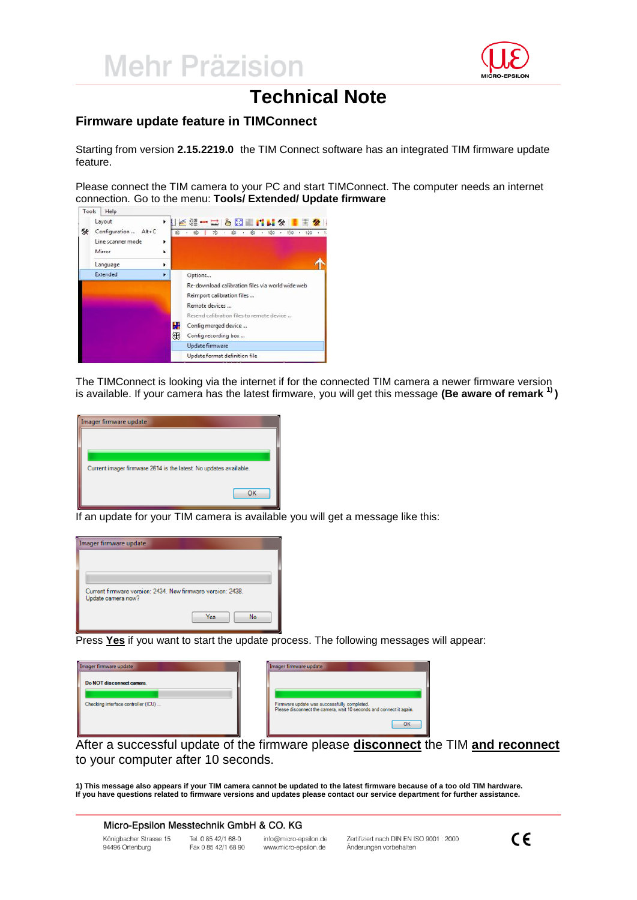

# **Technical Note**

### **Firmware update feature in TIMConnect**

Starting from version **2.15.2219.0** the TIM Connect software has an integrated TIM firmware update feature.

Please connect the TIM camera to your PC and start TIMConnect. The computer needs an internet connection. Go to the menu: **Tools/ Extended/ Update firmware**



The TIMConnect is looking via the internet if for the connected TIM camera a newer firmware version is available. If your camera has the latest firmware, you will get this message **(Be aware of remark 1) )**



If an update for your TIM camera is available you will get a message like this:



Press **Yes** if you want to start the update process. The following messages will appear:

| Imager firmware update                                           | Imager firmware update                                                                                                   |
|------------------------------------------------------------------|--------------------------------------------------------------------------------------------------------------------------|
| Do NOT disconnect camera.<br>Checking interface controller (ICU) | Firmware update was successfully completed.<br>Please disconnect the camera, wait 10 seconds and connect it again.<br>OK |

After a successful update of the firmware please **disconnect** the TIM **and reconnect** to your computer after 10 seconds.

**1) This message also appears if your TIM camera cannot be updated to the latest firmware because of a too old TIM hardware. If you have questions related to firmware versions and updates please contact our service department for further assistance.**

#### Micro-Epsilon Messtechnik GmbH & CO. KG

Königbacher Strasse 15 94496 Ortenburg